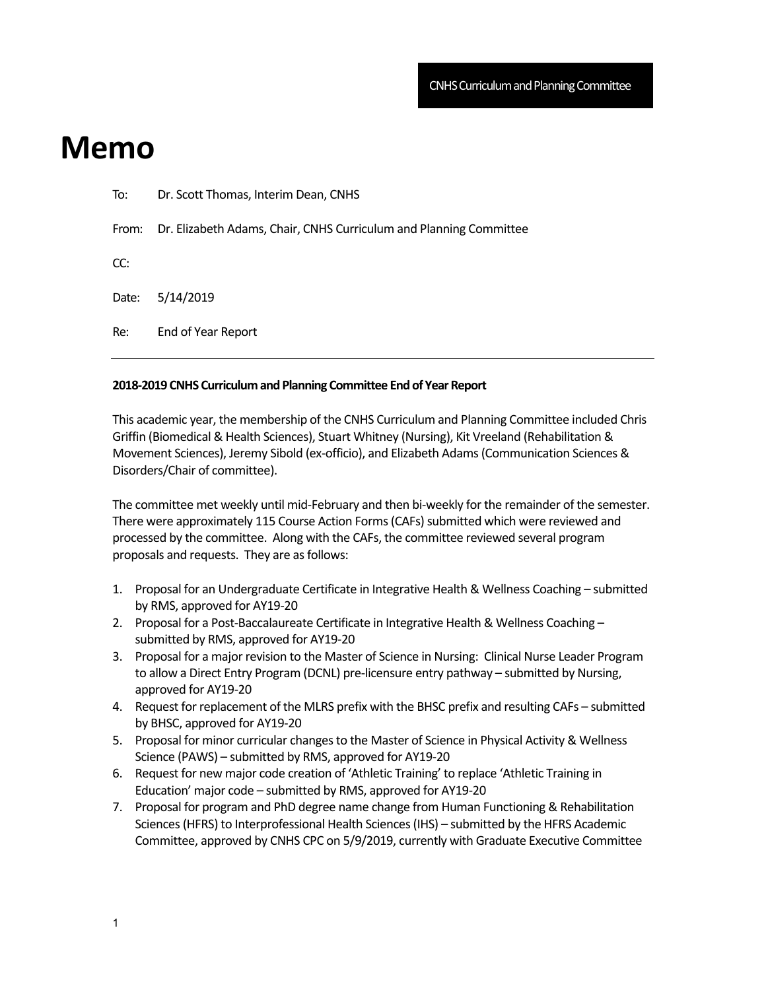## **Memo**

| To:   | Dr. Scott Thomas, Interim Dean, CNHS                                     |
|-------|--------------------------------------------------------------------------|
|       | From: Dr. Elizabeth Adams, Chair, CNHS Curriculum and Planning Committee |
| CC:   |                                                                          |
| Date: | 5/14/2019                                                                |
| Re:   | End of Year Report                                                       |
|       |                                                                          |

## **2018‐2019 CNHS Curriculum and Planning Committee End of Year Report**

This academic year, the membership of the CNHS Curriculum and Planning Committee included Chris Griffin (Biomedical & Health Sciences), Stuart Whitney (Nursing), Kit Vreeland (Rehabilitation & Movement Sciences), Jeremy Sibold (ex‐officio), and Elizabeth Adams (Communication Sciences & Disorders/Chair of committee).

The committee met weekly until mid-February and then bi-weekly for the remainder of the semester. There were approximately 115 Course Action Forms (CAFs) submitted which were reviewed and processed by the committee. Along with the CAFs, the committee reviewed several program proposals and requests. They are as follows:

- 1. Proposal for an Undergraduate Certificate in Integrative Health & Wellness Coaching submitted by RMS, approved for AY19‐20
- 2. Proposal for a Post-Baccalaureate Certificate in Integrative Health & Wellness Coaching submitted by RMS, approved for AY19‐20
- 3. Proposal for a major revision to the Master of Science in Nursing: Clinical Nurse Leader Program to allow a Direct Entry Program (DCNL) pre‐licensure entry pathway – submitted by Nursing, approved for AY19‐20
- 4. Request for replacement of the MLRS prefix with the BHSC prefix and resulting CAFs submitted by BHSC, approved for AY19‐20
- 5. Proposal for minor curricular changes to the Master of Science in Physical Activity & Wellness Science (PAWS) – submitted by RMS, approved for AY19‐20
- 6. Request for new major code creation of 'Athletic Training' to replace 'Athletic Training in Education' major code – submitted by RMS, approved for AY19‐20
- 7. Proposal for program and PhD degree name change from Human Functioning & Rehabilitation Sciences (HFRS) to Interprofessional Health Sciences (IHS) – submitted by the HFRS Academic Committee, approved by CNHS CPC on 5/9/2019, currently with Graduate Executive Committee